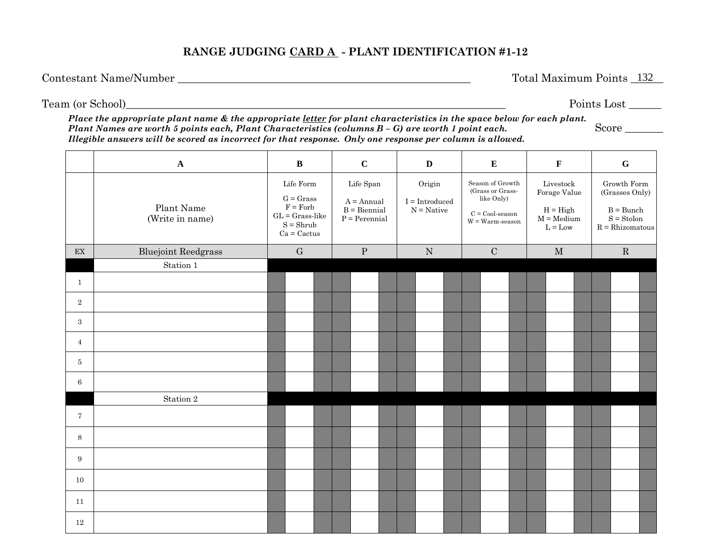### **RANGE JUDGING CARD A - PLANT IDENTIFICATION #1-12**

Contestant Name/Number \_\_\_\_\_\_\_\_\_\_\_\_\_\_\_\_\_\_\_\_\_\_\_\_\_\_\_\_\_\_\_\_\_\_\_\_\_\_\_\_\_\_\_\_\_\_\_\_\_\_\_\_\_\_ Total Maximum Points \_\_\_\_\_\_

Total Maximum Points 132

Team (or School)\_\_\_\_\_\_\_\_\_\_\_\_\_\_\_\_\_\_\_\_\_\_\_\_\_\_\_\_\_\_\_\_\_\_\_\_\_\_\_\_\_\_\_\_\_\_\_\_\_\_\_\_\_\_\_\_\_\_\_\_\_\_\_\_\_\_\_\_\_\_ Points Lost \_\_\_\_\_\_

Score

*Place the appropriate plant name & the appropriate letter for plant characteristics in the space below for each plant. Plant Names are worth 5 points each, Plant Characteristics (columns B – G) are worth 1 point each. Illegible answers will be scored as incorrect for that response. Only one response per column is allowed.* 

|                            | $\mathbf A$                   | $\, {\bf B}$ |                                                                                             | $\mathbf C$ |  | $\mathbf D$                                                                                                  |  | ${\bf E}$                                                                                                                      |           |  | $\mathbf F$                                                                                                        |  | ${\bf G}$ |                                                                                                     |  |  |             |  |  |
|----------------------------|-------------------------------|--------------|---------------------------------------------------------------------------------------------|-------------|--|--------------------------------------------------------------------------------------------------------------|--|--------------------------------------------------------------------------------------------------------------------------------|-----------|--|--------------------------------------------------------------------------------------------------------------------|--|-----------|-----------------------------------------------------------------------------------------------------|--|--|-------------|--|--|
|                            | Plant Name<br>(Write in name) |              | Life Form<br>$G = Grass$<br>$F = Forb$<br>$GL = Grass-like$<br>$S = Shrub$<br>$Ca = Cactus$ |             |  | Life Span<br>Origin<br>$A = Annual$<br>$I = Introduced$<br>$N =$ Native<br>$B = Biennial$<br>$P = Perennial$ |  | Season of Growth<br>(Grass or Grass-<br>like Only)<br>$\mathbf{C} = \mathbf{Cool}\text{-}\mathbf{season}$<br>$W = Warm-season$ |           |  | $\label{eq:divestock} \text{Livestock}$<br>Forage Value<br>$H = High$<br>$M =$ Medium<br>$\mathbf{L}=\mathbf{Low}$ |  |           | Growth Form<br>(Grasses Only)<br>$B = Bunch$<br>$\mathbf{S} = \mathbf{Stolon}$<br>$R = Rhizomatous$ |  |  |             |  |  |
| $\mathop{\rm EX}\nolimits$ | <b>Bluejoint Reedgrass</b>    |              | ${\bf G}$                                                                                   |             |  | $\mathbf P$                                                                                                  |  |                                                                                                                                | ${\bf N}$ |  | $\mathbf C$                                                                                                        |  |           | $\mathbf M$                                                                                         |  |  | $\mathbf R$ |  |  |
|                            | Station 1                     |              |                                                                                             |             |  |                                                                                                              |  |                                                                                                                                |           |  |                                                                                                                    |  |           |                                                                                                     |  |  |             |  |  |
| $\mathbf{1}$               |                               |              |                                                                                             |             |  |                                                                                                              |  |                                                                                                                                |           |  |                                                                                                                    |  |           |                                                                                                     |  |  |             |  |  |
| $\overline{2}$             |                               |              |                                                                                             |             |  |                                                                                                              |  |                                                                                                                                |           |  |                                                                                                                    |  |           |                                                                                                     |  |  |             |  |  |
| 3                          |                               |              |                                                                                             |             |  |                                                                                                              |  |                                                                                                                                |           |  |                                                                                                                    |  |           |                                                                                                     |  |  |             |  |  |
| $\overline{4}$             |                               |              |                                                                                             |             |  |                                                                                                              |  |                                                                                                                                |           |  |                                                                                                                    |  |           |                                                                                                     |  |  |             |  |  |
| 5                          |                               |              |                                                                                             |             |  |                                                                                                              |  |                                                                                                                                |           |  |                                                                                                                    |  |           |                                                                                                     |  |  |             |  |  |
| 6                          |                               |              |                                                                                             |             |  |                                                                                                              |  |                                                                                                                                |           |  |                                                                                                                    |  |           |                                                                                                     |  |  |             |  |  |
|                            | Station 2                     |              |                                                                                             |             |  |                                                                                                              |  |                                                                                                                                |           |  |                                                                                                                    |  |           |                                                                                                     |  |  |             |  |  |
| $\tau$                     |                               |              |                                                                                             |             |  |                                                                                                              |  |                                                                                                                                |           |  |                                                                                                                    |  |           |                                                                                                     |  |  |             |  |  |
| 8                          |                               |              |                                                                                             |             |  |                                                                                                              |  |                                                                                                                                |           |  |                                                                                                                    |  |           |                                                                                                     |  |  |             |  |  |
| 9                          |                               |              |                                                                                             |             |  |                                                                                                              |  |                                                                                                                                |           |  |                                                                                                                    |  |           |                                                                                                     |  |  |             |  |  |
| 10                         |                               |              |                                                                                             |             |  |                                                                                                              |  |                                                                                                                                |           |  |                                                                                                                    |  |           |                                                                                                     |  |  |             |  |  |
| 11                         |                               |              |                                                                                             |             |  |                                                                                                              |  |                                                                                                                                |           |  |                                                                                                                    |  |           |                                                                                                     |  |  |             |  |  |
| $12\,$                     |                               |              |                                                                                             |             |  |                                                                                                              |  |                                                                                                                                |           |  |                                                                                                                    |  |           |                                                                                                     |  |  |             |  |  |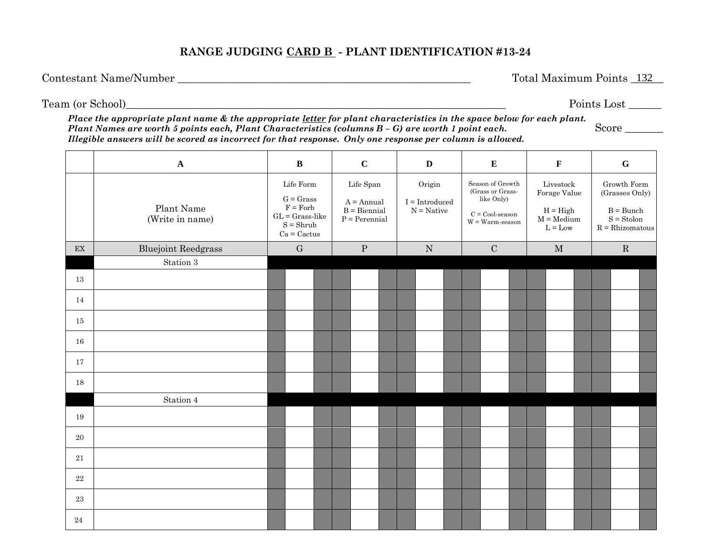### **RANGE JUDGING CARD B - PLANT IDENTIFICATION #13-24**

Contestant Name/Number \_\_\_\_\_\_\_\_\_\_\_\_\_\_\_\_\_\_\_\_\_\_\_\_\_\_\_\_\_\_\_\_\_\_\_\_\_\_\_\_\_\_\_\_\_\_\_\_\_\_\_\_\_\_ Total Maximum Points \_\_\_\_\_\_

Total Maximum Points 132

Team (or School)\_\_\_\_\_\_\_\_\_\_\_\_\_\_\_\_\_\_\_\_\_\_\_\_\_\_\_\_\_\_\_\_\_\_\_\_\_\_\_\_\_\_\_\_\_\_\_\_\_\_\_\_\_\_\_\_\_\_\_\_\_\_\_\_\_\_\_\_\_\_ Points Lost \_\_\_\_\_\_

Score  $\overline{\phantom{a}}$ 

*Place the appropriate plant name & the appropriate letter for plant characteristics in the space below for each plant. Plant Names are worth 5 points each, Plant Characteristics (columns B – G) are worth 1 point each. Illegible answers will be scored as incorrect for that response. Only one response per column is allowed.* 

|                            | $\mathbf A$                   | $\, {\bf B}$ |                                                                                             | $\mathbf C$                                                    |             | $\mathbf{D}$                               |           |  | ${\bf E}$                                                                                                                      |  |  | $\mathbf F$                                                          |  | $\mathbf G$ |                                                                                   |  |  |  |
|----------------------------|-------------------------------|--------------|---------------------------------------------------------------------------------------------|----------------------------------------------------------------|-------------|--------------------------------------------|-----------|--|--------------------------------------------------------------------------------------------------------------------------------|--|--|----------------------------------------------------------------------|--|-------------|-----------------------------------------------------------------------------------|--|--|--|
|                            | Plant Name<br>(Write in name) |              | Life Form<br>$G = Grass$<br>$F = Forb$<br>$GL = Grass-like$<br>$S = Shrub$<br>$Ca = Cactus$ | Life Span<br>$A = Annual$<br>$B = Biennial$<br>$P = Perennial$ |             | Origin<br>$I = Introduced$<br>$N =$ Native |           |  | Season of Growth<br>(Grass or Grass-<br>like Only)<br>$\mathbf{C} = \mathbf{Cool}\text{-}\mathbf{season}$<br>$W = Warm-season$ |  |  | Livestock<br>Forage Value<br>$H = High$<br>$M = Medium$<br>$L = Low$ |  |             | Growth Form<br>(Grasses Only)<br>$B = Bunch$<br>$S =$ Stolon<br>$R = Rhizomatous$ |  |  |  |
| $\mathop{\rm EX}\nolimits$ | <b>Bluejoint Reedgrass</b>    |              | G                                                                                           |                                                                | $\mathbf P$ |                                            | ${\bf N}$ |  | ${\bf C}$                                                                                                                      |  |  | $\mathbf M$                                                          |  |             | $\mathbf R$                                                                       |  |  |  |
|                            | Station $3\,$                 |              |                                                                                             |                                                                |             |                                            |           |  |                                                                                                                                |  |  |                                                                      |  |             |                                                                                   |  |  |  |
| 13                         |                               |              |                                                                                             |                                                                |             |                                            |           |  |                                                                                                                                |  |  |                                                                      |  |             |                                                                                   |  |  |  |
| 14                         |                               |              |                                                                                             |                                                                |             |                                            |           |  |                                                                                                                                |  |  |                                                                      |  |             |                                                                                   |  |  |  |
| 15                         |                               |              |                                                                                             |                                                                |             |                                            |           |  |                                                                                                                                |  |  |                                                                      |  |             |                                                                                   |  |  |  |
| 16                         |                               |              |                                                                                             |                                                                |             |                                            |           |  |                                                                                                                                |  |  |                                                                      |  |             |                                                                                   |  |  |  |
| 17                         |                               |              |                                                                                             |                                                                |             |                                            |           |  |                                                                                                                                |  |  |                                                                      |  |             |                                                                                   |  |  |  |
| 18                         |                               |              |                                                                                             |                                                                |             |                                            |           |  |                                                                                                                                |  |  |                                                                      |  |             |                                                                                   |  |  |  |
|                            | Station 4                     |              |                                                                                             |                                                                |             |                                            |           |  |                                                                                                                                |  |  |                                                                      |  |             |                                                                                   |  |  |  |
| 19                         |                               |              |                                                                                             |                                                                |             |                                            |           |  |                                                                                                                                |  |  |                                                                      |  |             |                                                                                   |  |  |  |
| $20\,$                     |                               |              |                                                                                             |                                                                |             |                                            |           |  |                                                                                                                                |  |  |                                                                      |  |             |                                                                                   |  |  |  |
| 21                         |                               |              |                                                                                             |                                                                |             |                                            |           |  |                                                                                                                                |  |  |                                                                      |  |             |                                                                                   |  |  |  |
| $22\,$                     |                               |              |                                                                                             |                                                                |             |                                            |           |  |                                                                                                                                |  |  |                                                                      |  |             |                                                                                   |  |  |  |
| 23                         |                               |              |                                                                                             |                                                                |             |                                            |           |  |                                                                                                                                |  |  |                                                                      |  |             |                                                                                   |  |  |  |
| 24                         |                               |              |                                                                                             |                                                                |             |                                            |           |  |                                                                                                                                |  |  |                                                                      |  |             |                                                                                   |  |  |  |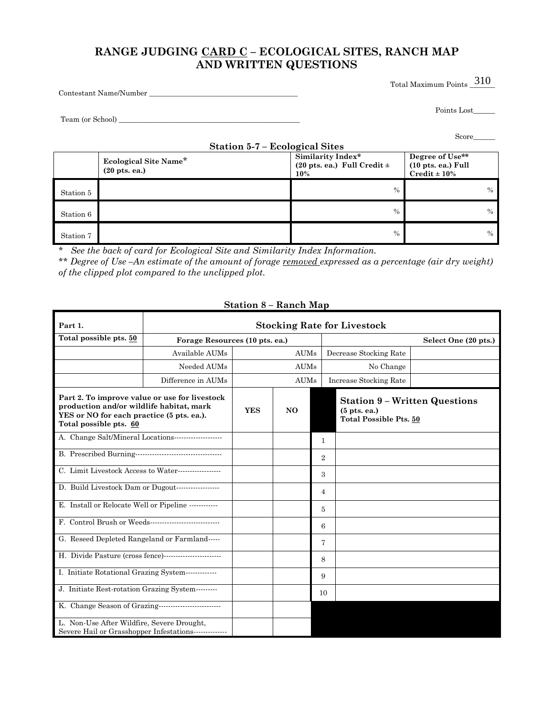## **RANGE JUDGING CARD C – ECOLOGICAL SITES, RANCH MAP AND WRITTEN QUESTIONS**

Total Maximum Points  $\frac{310}{ }$ 

Contestant Name/Number \_\_\_\_\_\_\_\_\_\_\_\_\_\_\_\_\_\_\_\_\_\_\_\_\_\_\_\_\_\_\_\_\_\_\_\_\_\_\_\_\_

Points Lost\_\_\_\_\_\_\_\_

Team (or School) \_\_\_\_\_\_\_\_\_\_\_\_\_\_\_\_\_\_\_\_\_\_\_\_\_\_\_\_\_\_\_\_\_\_\_\_\_\_\_\_\_\_\_\_\_\_\_\_\_\_

|  | cor |  |  |
|--|-----|--|--|

|           | Station 5-7 – Ecological Sites                           |                                                             |                                                                              |
|-----------|----------------------------------------------------------|-------------------------------------------------------------|------------------------------------------------------------------------------|
|           | Ecological Site Name*<br>$(20 \text{ pts.} \text{ ea.})$ | Similarity Index*<br>(20 pts. ea.) Full Credit $\pm$<br>10% | Degree of Use**<br>$(10 \text{ pts.} \text{ ea.})$ Full<br>$Credit \pm 10\%$ |
| Station 5 |                                                          | $\frac{0}{0}$                                               | $\frac{0}{0}$                                                                |
| Station 6 |                                                          | $\frac{0}{0}$                                               | $\%$                                                                         |
| Station 7 |                                                          | $\frac{0}{0}$                                               | $\%$                                                                         |

\* *See the back of card for Ecological Site and Similarity Index Information.*

\*\* *Degree of Use –An estimate of the amount of forage removed expressed as a percentage (air dry weight) of the clipped plot compared to the unclipped plot.* 

| Part 1.                                                                                                                                                          | <b>Stocking Rate for Livestock</b> |                |                |   |                                                                                         |                        |  |  |  |  |  |  |  |
|------------------------------------------------------------------------------------------------------------------------------------------------------------------|------------------------------------|----------------|----------------|---|-----------------------------------------------------------------------------------------|------------------------|--|--|--|--|--|--|--|
| Total possible pts. 50                                                                                                                                           | Forage Resources (10 pts. ea.)     |                |                |   | Select One (20 pts.)                                                                    |                        |  |  |  |  |  |  |  |
|                                                                                                                                                                  | Available AUMs                     |                | <b>AUMs</b>    |   |                                                                                         | Decrease Stocking Rate |  |  |  |  |  |  |  |
|                                                                                                                                                                  | Needed AUMs                        |                | <b>AUMs</b>    |   |                                                                                         | No Change              |  |  |  |  |  |  |  |
|                                                                                                                                                                  | Difference in AUMs                 |                | <b>AUMs</b>    |   |                                                                                         | Increase Stocking Rate |  |  |  |  |  |  |  |
| Part 2. To improve value or use for livestock<br>production and/or wildlife habitat, mark<br>YES or NO for each practice (5 pts. ea.).<br>Total possible pts. 60 | <b>YES</b>                         | N <sub>O</sub> |                |   | <b>Station 9 - Written Questions</b><br>$(5$ pts. ea.)<br><b>Total Possible Pts. 50</b> |                        |  |  |  |  |  |  |  |
|                                                                                                                                                                  |                                    |                | 1              |   |                                                                                         |                        |  |  |  |  |  |  |  |
|                                                                                                                                                                  |                                    |                | $\overline{2}$ |   |                                                                                         |                        |  |  |  |  |  |  |  |
| C. Limit Livestock Access to Water-------------------                                                                                                            |                                    |                | 3              |   |                                                                                         |                        |  |  |  |  |  |  |  |
|                                                                                                                                                                  |                                    |                | 4              |   |                                                                                         |                        |  |  |  |  |  |  |  |
| E. Install or Relocate Well or Pipeline ------------                                                                                                             |                                    |                | 5              |   |                                                                                         |                        |  |  |  |  |  |  |  |
|                                                                                                                                                                  |                                    |                |                | 6 |                                                                                         |                        |  |  |  |  |  |  |  |
| G. Reseed Depleted Rangeland or Farmland-----                                                                                                                    |                                    |                |                | 7 |                                                                                         |                        |  |  |  |  |  |  |  |
| H. Divide Pasture (cross fence)-------------------------                                                                                                         |                                    |                |                | 8 |                                                                                         |                        |  |  |  |  |  |  |  |
| I. Initiate Rotational Grazing System--------------                                                                                                              |                                    |                | 9              |   |                                                                                         |                        |  |  |  |  |  |  |  |
| J. Initiate Rest-rotation Grazing System---------                                                                                                                |                                    |                | 10             |   |                                                                                         |                        |  |  |  |  |  |  |  |
|                                                                                                                                                                  |                                    |                |                |   |                                                                                         |                        |  |  |  |  |  |  |  |
| L. Non-Use After Wildfire, Severe Drought,<br>Severe Hail or Grasshopper Infestations                                                                            |                                    |                |                |   |                                                                                         |                        |  |  |  |  |  |  |  |

#### **Station 8 – Ranch Map**

#### Score\_\_\_\_\_\_\_